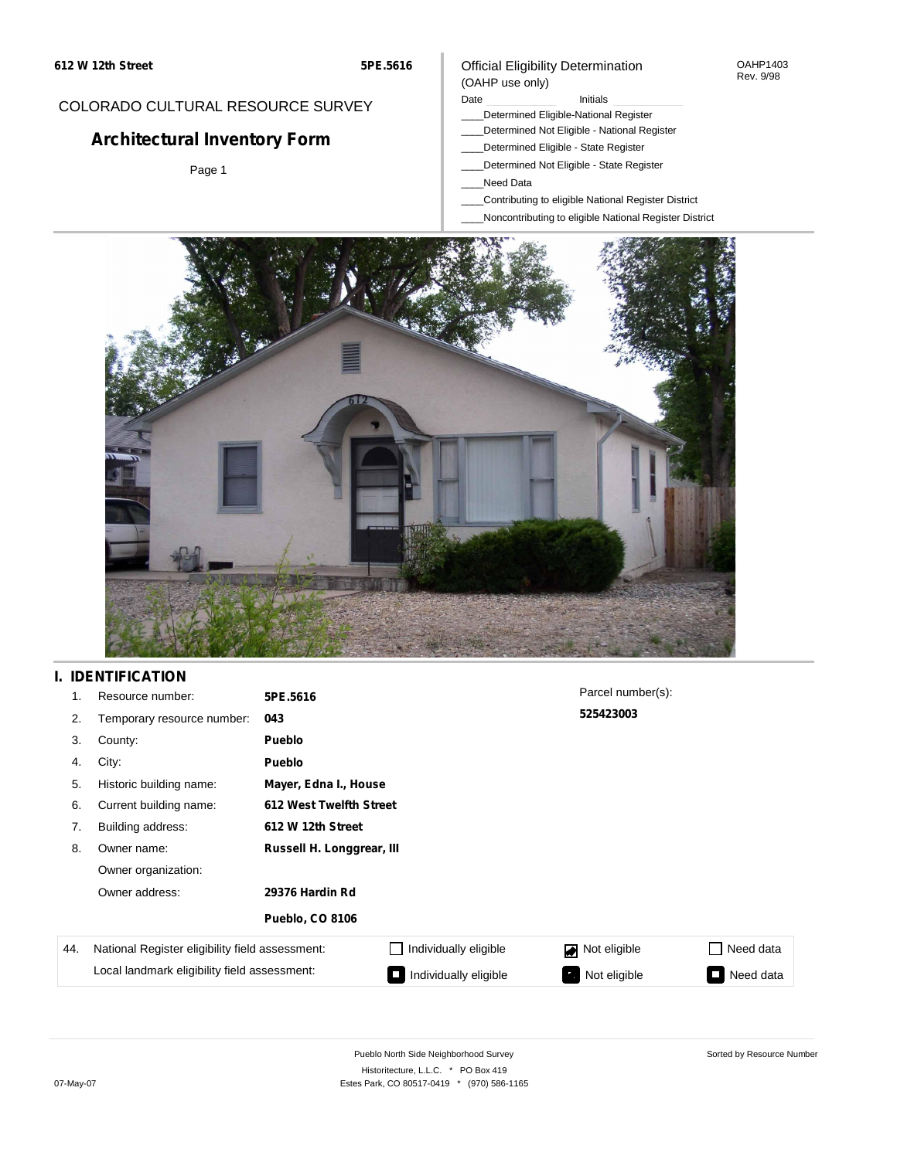#### OAHP1403 Rev. 9/98

(OAHP use only)

## COLORADO CULTURAL RESOURCE SURVEY

# **Architectural Inventory Form**

Page 1

#### Date **Initials** Initials

- \_\_\_\_Determined Eligible-National Register
- \_\_\_\_Determined Not Eligible National Register
	- \_\_\_\_Determined Eligible State Register

Official Eligibility Determination

- \_\_\_\_Determined Not Eligible State Register
- \_\_\_\_Need Data
- \_\_\_\_Contributing to eligible National Register District
- \_\_\_\_Noncontributing to eligible National Register District



### **I. IDENTIFICATION**

| 1.  | Resource number:                                | 5PE.5616                  |                         | Parcel number(s): |                              |  |  |  |  |
|-----|-------------------------------------------------|---------------------------|-------------------------|-------------------|------------------------------|--|--|--|--|
| 2.  | Temporary resource number:                      | 043                       |                         | 525423003         |                              |  |  |  |  |
| 3.  | County:                                         | Pueblo                    |                         |                   |                              |  |  |  |  |
| 4.  | City:                                           | <b>Pueblo</b>             |                         |                   |                              |  |  |  |  |
| 5.  | Historic building name:                         |                           | Mayer, Edna I., House   |                   |                              |  |  |  |  |
| 6.  | Current building name:                          |                           | 612 West Twelfth Street |                   |                              |  |  |  |  |
| 7.  | Building address:                               | 612 W 12th Street         |                         |                   |                              |  |  |  |  |
| 8.  | Owner name:                                     | Russell H. Longgrear, III |                         |                   |                              |  |  |  |  |
|     | Owner organization:                             |                           |                         |                   |                              |  |  |  |  |
|     | Owner address:                                  | 29376 Hardin Rd           |                         |                   |                              |  |  |  |  |
|     |                                                 | <b>Pueblo, CO 8106</b>    |                         |                   |                              |  |  |  |  |
| 44. | National Register eligibility field assessment: |                           | Individually eligible   | Not eligible      | Need data<br><b>Table 19</b> |  |  |  |  |
|     | Local landmark eligibility field assessment:    |                           | Individually eligible   | Not eligible      | Need data                    |  |  |  |  |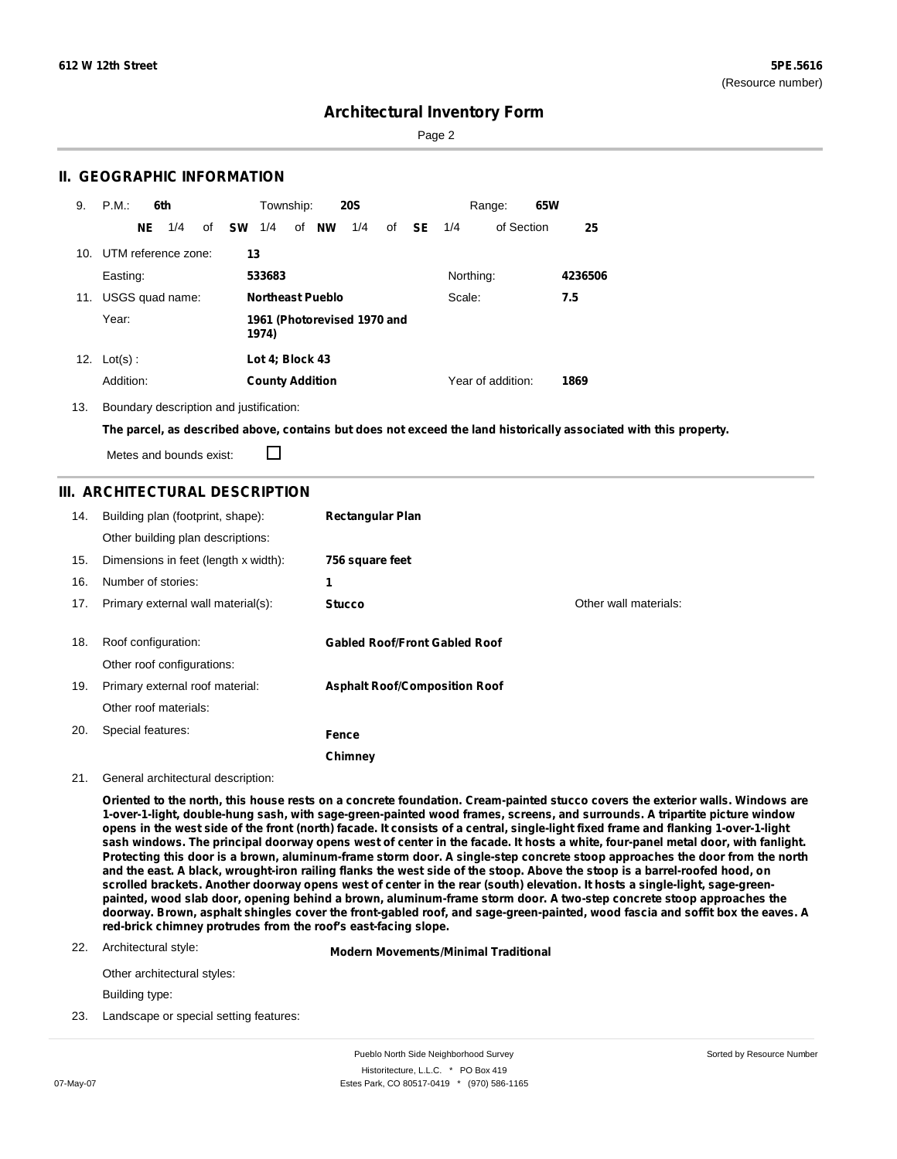Page 2

### **II. GEOGRAPHIC INFORMATION**

| 9.  | P.M.       |     | 6th                 |    |           | Township:              |                         | <b>20S</b>                  |    |    |           | Range:            | 65W |         |
|-----|------------|-----|---------------------|----|-----------|------------------------|-------------------------|-----------------------------|----|----|-----------|-------------------|-----|---------|
|     |            | NE. | 1/4                 | of | <b>SW</b> | 1/4                    | of NW                   | 1/4                         | of | SE | 1/4       | of Section        |     | 25      |
| 10. |            |     | UTM reference zone: |    | 13        |                        |                         |                             |    |    |           |                   |     |         |
|     | Easting:   |     |                     |    |           | 533683                 |                         |                             |    |    | Northing: |                   |     | 4236506 |
| 11. |            |     | USGS quad name:     |    |           |                        | <b>Northeast Pueblo</b> |                             |    |    | Scale:    |                   |     | 7.5     |
|     | Year:      |     |                     |    |           | 1974)                  |                         | 1961 (Photorevised 1970 and |    |    |           |                   |     |         |
| 12. | $Lot(s)$ : |     |                     |    |           | Lot 4; Block 43        |                         |                             |    |    |           |                   |     |         |
|     | Addition:  |     |                     |    |           | <b>County Addition</b> |                         |                             |    |    |           | Year of addition: |     | 1869    |

13. Boundary description and justification:

The parcel, as described above, contains but does not exceed the land historically associated with this property.

Metes and bounds exist:

П

### **III. ARCHITECTURAL DESCRIPTION**

| 14. | Building plan (footprint, shape):<br>Other building plan descriptions: | <b>Rectangular Plan</b>              |                       |
|-----|------------------------------------------------------------------------|--------------------------------------|-----------------------|
| 15. | Dimensions in feet (length x width):                                   | 756 square feet                      |                       |
| 16. | Number of stories:                                                     | 1                                    |                       |
| 17. | Primary external wall material(s):                                     | <b>Stucco</b>                        | Other wall materials: |
| 18. | Roof configuration:<br>Other roof configurations:                      | <b>Gabled Roof/Front Gabled Roof</b> |                       |
| 19. | Primary external roof material:                                        | <b>Asphalt Roof/Composition Roof</b> |                       |
|     | Other roof materials:                                                  |                                      |                       |
| 20. | Special features:                                                      | Fence                                |                       |
|     |                                                                        | Chimney                              |                       |

#### 21. General architectural description:

Oriented to the north, this house rests on a concrete foundation. Cream-painted stucco covers the exterior walls. Windows are **1-over-1-light, double-hung sash, with sage-green-painted wood frames, screens, and surrounds. A tripartite picture window** opens in the west side of the front (north) facade. It consists of a central, single-light fixed frame and flanking 1-over-1-light sash windows. The principal doorway opens west of center in the facade. It hosts a white, four-panel metal door, with fanlight. Protecting this door is a brown, aluminum-frame storm door. A single-step concrete stoop approaches the door from the north and the east. A black, wrought-iron railing flanks the west side of the stoop. Above the stoop is a barrel-roofed hood, on scrolled brackets. Another doorway opens west of center in the rear (south) elevation. It hosts a single-light, sage-greenpainted, wood slab door, opening behind a brown, aluminum-frame storm door. A two-step concrete stoop approaches the doorway. Brown, asphalt shingles cover the front-gabled roof, and sage-green-painted, wood fascia and soffit box the eaves. A **red-brick chimney protrudes from the roof's east-facing slope.**

22. Architectural style:

**Modern Movements/Minimal Traditional**

Other architectural styles:

Building type:

23. Landscape or special setting features: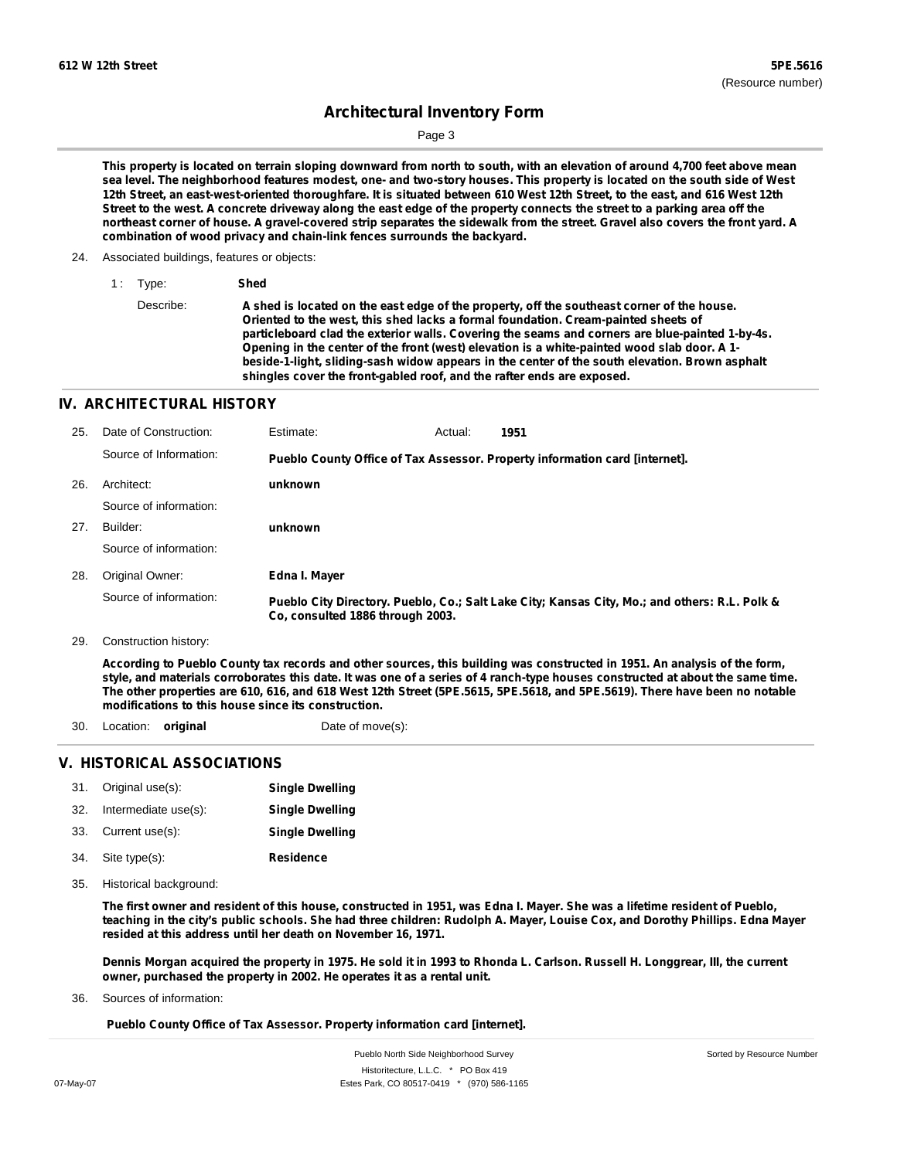Page 3

This property is located on terrain sloping downward from north to south, with an elevation of around 4,700 feet above mean sea level. The neighborhood features modest, one- and two-story houses. This property is located on the south side of West 12th Street, an east-west-oriented thoroughfare. It is situated between 610 West 12th Street, to the east, and 616 West 12th Street to the west. A concrete driveway along the east edge of the property connects the street to a parking area off the northeast corner of house. A gravel-covered strip separates the sidewalk from the street. Gravel also covers the front yard. A **combination of wood privacy and chain-link fences surrounds the backyard.**

- 24. Associated buildings, features or objects:
	- 1 : Type: **Shed** Describe: A shed is located on the east edge of the property, off the southeast corner of the house. **Oriented to the west, this shed lacks a formal foundation. Cream-painted sheets of particleboard clad the exterior walls. Covering the seams and corners are blue-painted 1-by-4s. Opening in the center of the front (west) elevation is a white-painted wood slab door. A 1 beside-1-light, sliding-sash widow appears in the center of the south elevation. Brown asphalt shingles cover the front-gabled roof, and the rafter ends are exposed.**

### **IV. ARCHITECTURAL HISTORY**

| 25. | Date of Construction:  | Estimate:                        | Actual: | 1951                                                                                          |
|-----|------------------------|----------------------------------|---------|-----------------------------------------------------------------------------------------------|
|     | Source of Information: |                                  |         | Pueblo County Office of Tax Assessor. Property information card [internet].                   |
| 26. | Architect:             | unknown                          |         |                                                                                               |
|     | Source of information: |                                  |         |                                                                                               |
| 27. | Builder:               | unknown                          |         |                                                                                               |
|     | Source of information: |                                  |         |                                                                                               |
| 28. | Original Owner:        | Edna I. Mayer                    |         |                                                                                               |
|     | Source of information: | Co. consulted 1886 through 2003. |         | Pueblo City Directory. Pueblo, Co.; Salt Lake City; Kansas City, Mo.; and others: R.L. Polk & |
| 29. | Construction history:  |                                  |         |                                                                                               |

According to Pueblo County tax records and other sources, this building was constructed in 1951. An analysis of the form,

style, and materials corroborates this date. It was one of a series of 4 ranch-type houses constructed at about the same time. The other properties are 610, 616, and 618 West 12th Street (5PE.5615, 5PE.5618, and 5PE.5619). There have been no notable **modifications to this house since its construction.**

- 30. Location: **original** Date of move(s):
- 

### **V. HISTORICAL ASSOCIATIONS**

|     | 31. Original use(s): | <b>Single Dwelling</b> |
|-----|----------------------|------------------------|
| 32. | Intermediate use(s): | <b>Single Dwelling</b> |

- 33. Current use(s): **Single Dwelling**
- **Residence** Site type(s): 34.
- Historical background: 35.

The first owner and resident of this house, constructed in 1951, was Edna I. Mayer. She was a lifetime resident of Pueblo, teaching in the city's public schools. She had three children: Rudolph A. Mayer, Louise Cox, and Dorothy Phillips. Edna Mayer **resided at this address until her death on November 16, 1971.**

Dennis Morgan acquired the property in 1975. He sold it in 1993 to Rhonda L. Carlson. Russell H. Longgrear, Ill, the current **owner, purchased the property in 2002. He operates it as a rental unit.**

Sources of information: 36.

**Pueblo County Office of Tax Assessor. Property information card [internet].**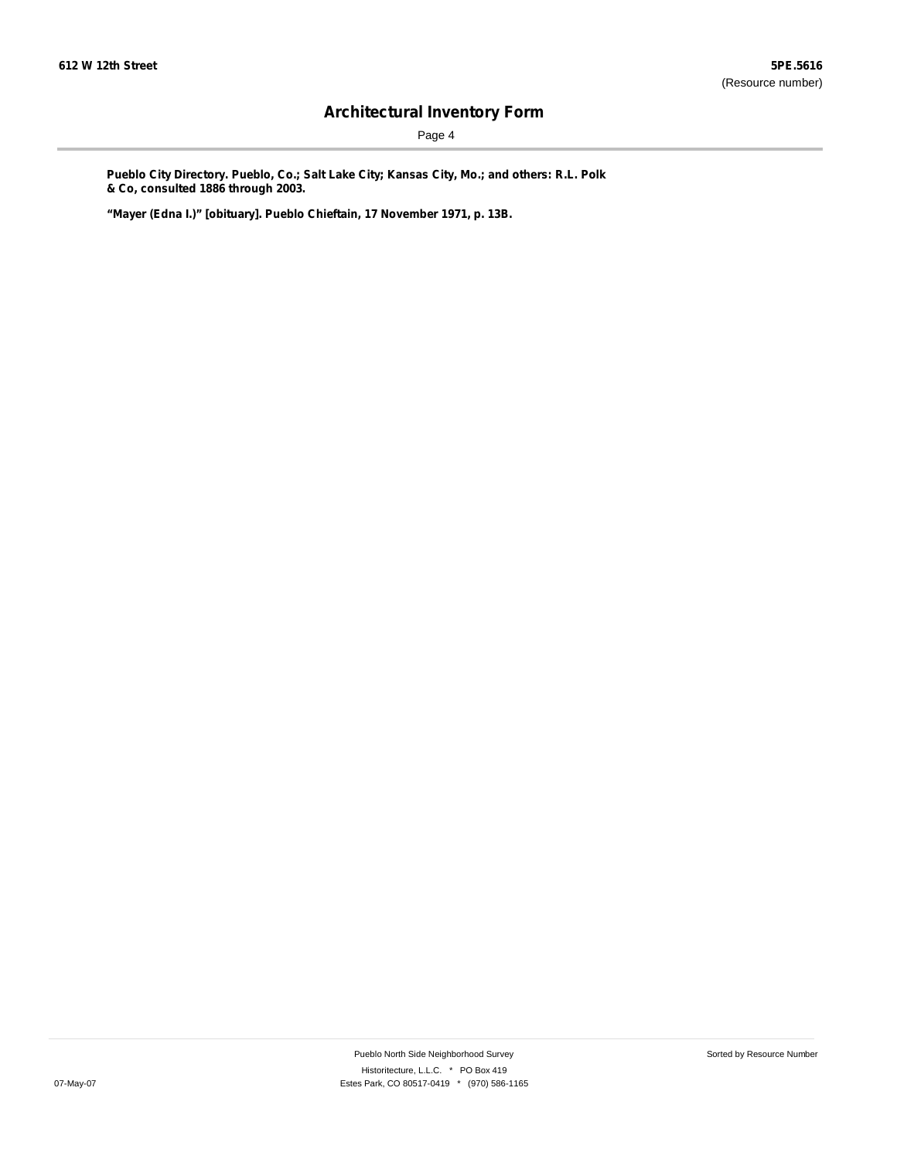Page 4

**Pueblo City Directory. Pueblo, Co.; Salt Lake City; Kansas City, Mo.; and others: R.L. Polk & Co, consulted 1886 through 2003.**

**"Mayer (Edna I.)" [obituary]. Pueblo Chieftain, 17 November 1971, p. 13B.**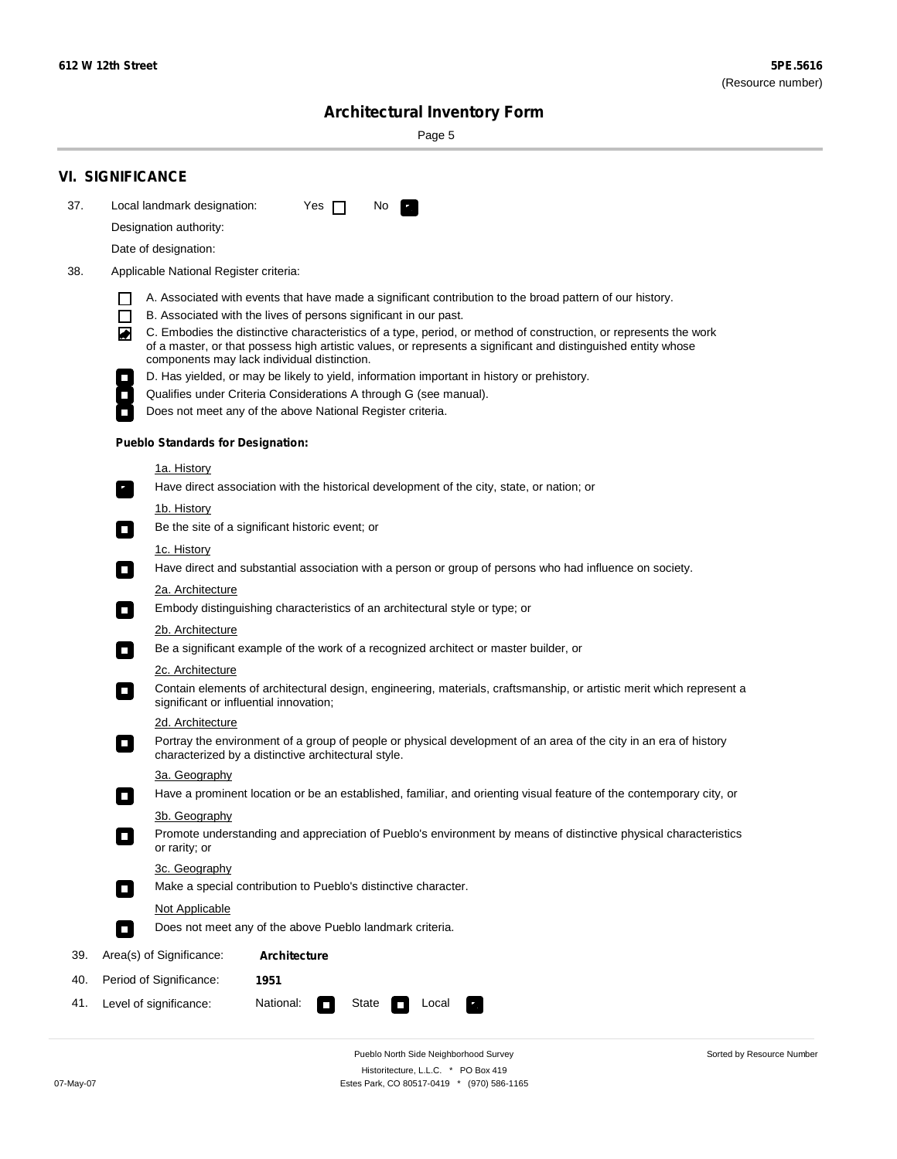۰

Sorted by Resource Number

# **Architectural Inventory Form**

Page 5

|     | <b>VI. SIGNIFICANCE</b>                                                                                                                                                                                                                                                                                                                                                                                                                  |  |  |  |  |  |  |  |
|-----|------------------------------------------------------------------------------------------------------------------------------------------------------------------------------------------------------------------------------------------------------------------------------------------------------------------------------------------------------------------------------------------------------------------------------------------|--|--|--|--|--|--|--|
| 37. | Local landmark designation:<br>Yes $\Box$<br>No.                                                                                                                                                                                                                                                                                                                                                                                         |  |  |  |  |  |  |  |
|     | Designation authority:                                                                                                                                                                                                                                                                                                                                                                                                                   |  |  |  |  |  |  |  |
|     | Date of designation:                                                                                                                                                                                                                                                                                                                                                                                                                     |  |  |  |  |  |  |  |
| 38. | Applicable National Register criteria:                                                                                                                                                                                                                                                                                                                                                                                                   |  |  |  |  |  |  |  |
|     | A. Associated with events that have made a significant contribution to the broad pattern of our history.<br>B. Associated with the lives of persons significant in our past.<br>$\blacksquare$<br>C. Embodies the distinctive characteristics of a type, period, or method of construction, or represents the work<br>◙<br>of a master, or that possess high artistic values, or represents a significant and distinguished entity whose |  |  |  |  |  |  |  |
|     | components may lack individual distinction.                                                                                                                                                                                                                                                                                                                                                                                              |  |  |  |  |  |  |  |
|     | D. Has yielded, or may be likely to yield, information important in history or prehistory.                                                                                                                                                                                                                                                                                                                                               |  |  |  |  |  |  |  |
|     | Qualifies under Criteria Considerations A through G (see manual).<br>Does not meet any of the above National Register criteria.                                                                                                                                                                                                                                                                                                          |  |  |  |  |  |  |  |
|     |                                                                                                                                                                                                                                                                                                                                                                                                                                          |  |  |  |  |  |  |  |
|     | <b>Pueblo Standards for Designation:</b>                                                                                                                                                                                                                                                                                                                                                                                                 |  |  |  |  |  |  |  |
|     | 1a. History<br>Have direct association with the historical development of the city, state, or nation; or<br>$\mathbf{r}_1$                                                                                                                                                                                                                                                                                                               |  |  |  |  |  |  |  |
|     | <u>1b. History</u><br>Be the site of a significant historic event; or<br>$\mathcal{L}_{\mathcal{A}}$                                                                                                                                                                                                                                                                                                                                     |  |  |  |  |  |  |  |
|     | 1c. History<br>Have direct and substantial association with a person or group of persons who had influence on society.<br>$\blacksquare$                                                                                                                                                                                                                                                                                                 |  |  |  |  |  |  |  |
|     | 2a. Architecture                                                                                                                                                                                                                                                                                                                                                                                                                         |  |  |  |  |  |  |  |
|     | Embody distinguishing characteristics of an architectural style or type; or<br>$\Box$                                                                                                                                                                                                                                                                                                                                                    |  |  |  |  |  |  |  |
|     | 2b. Architecture                                                                                                                                                                                                                                                                                                                                                                                                                         |  |  |  |  |  |  |  |
|     | Be a significant example of the work of a recognized architect or master builder, or<br>$\mathcal{L}_{\mathcal{A}}$                                                                                                                                                                                                                                                                                                                      |  |  |  |  |  |  |  |
|     | 2c. Architecture                                                                                                                                                                                                                                                                                                                                                                                                                         |  |  |  |  |  |  |  |
|     | Contain elements of architectural design, engineering, materials, craftsmanship, or artistic merit which represent a<br>$\mathcal{L}_{\mathcal{A}}$<br>significant or influential innovation;                                                                                                                                                                                                                                            |  |  |  |  |  |  |  |
|     | 2d. Architecture                                                                                                                                                                                                                                                                                                                                                                                                                         |  |  |  |  |  |  |  |
|     | Portray the environment of a group of people or physical development of an area of the city in an era of history<br>$\overline{\phantom{a}}$<br>characterized by a distinctive architectural style.                                                                                                                                                                                                                                      |  |  |  |  |  |  |  |
|     | 3a. Geography                                                                                                                                                                                                                                                                                                                                                                                                                            |  |  |  |  |  |  |  |
|     | Have a prominent location or be an established, familiar, and orienting visual feature of the contemporary city, or<br>П                                                                                                                                                                                                                                                                                                                 |  |  |  |  |  |  |  |
|     | 3b. Geography<br>Promote understanding and appreciation of Pueblo's environment by means of distinctive physical characteristics<br>or rarity; or                                                                                                                                                                                                                                                                                        |  |  |  |  |  |  |  |
|     | 3c. Geography<br>Make a special contribution to Pueblo's distinctive character.<br>$\Box$                                                                                                                                                                                                                                                                                                                                                |  |  |  |  |  |  |  |
|     | <b>Not Applicable</b>                                                                                                                                                                                                                                                                                                                                                                                                                    |  |  |  |  |  |  |  |
|     | Does not meet any of the above Pueblo landmark criteria.<br>$\blacksquare$                                                                                                                                                                                                                                                                                                                                                               |  |  |  |  |  |  |  |
| 39. | Area(s) of Significance:<br><b>Architecture</b>                                                                                                                                                                                                                                                                                                                                                                                          |  |  |  |  |  |  |  |
| 40. | Period of Significance:<br>1951                                                                                                                                                                                                                                                                                                                                                                                                          |  |  |  |  |  |  |  |
| 41. | National:<br>Level of significance:<br>State<br>Local<br>$\Box$                                                                                                                                                                                                                                                                                                                                                                          |  |  |  |  |  |  |  |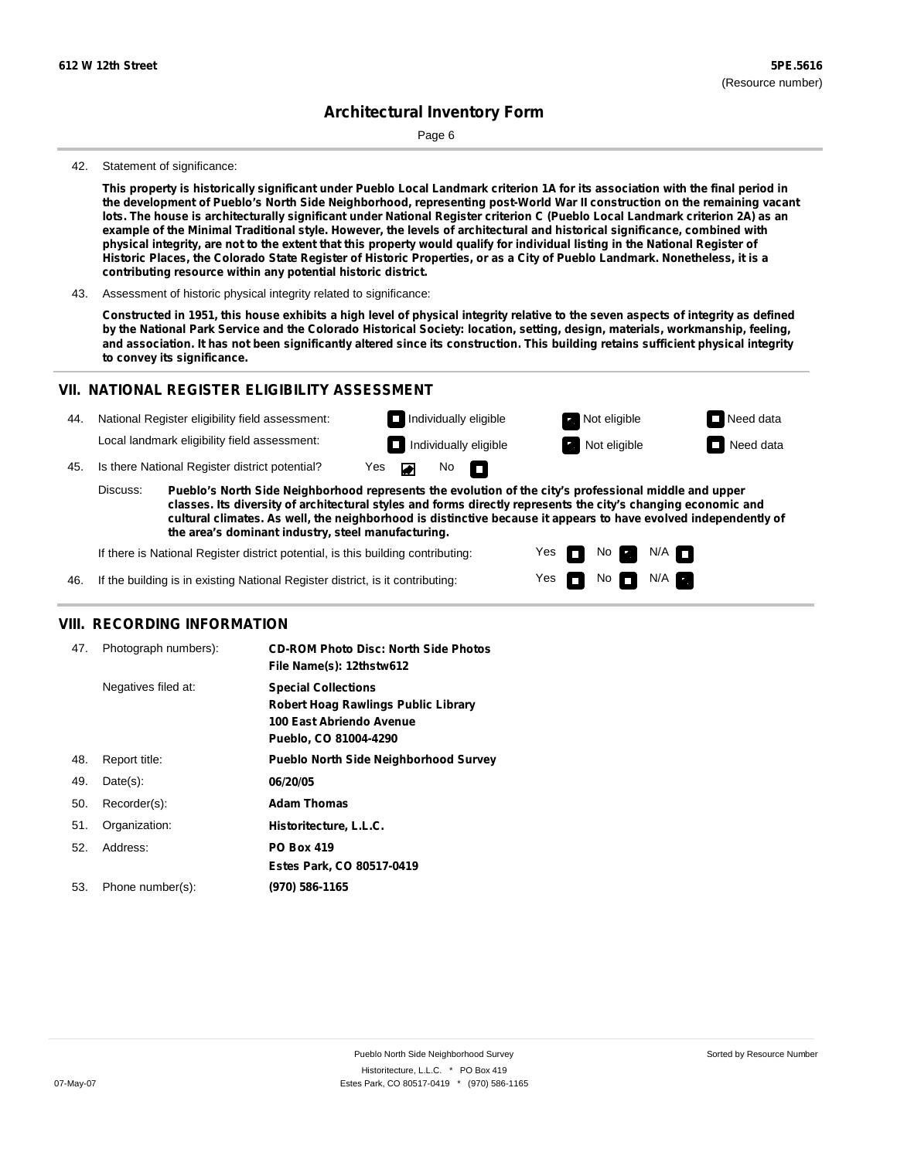Page 6

#### 42. Statement of significance:

This property is historically significant under Pueblo Local Landmark criterion 1A for its association with the final period in the development of Pueblo's North Side Neighborhood, representing post-World War II construction on the remaining vacant lots. The house is architecturally significant under National Register criterion C (Pueblo Local Landmark criterion 2A) as an example of the Minimal Traditional style. However, the levels of architectural and historical significance, combined with physical integrity, are not to the extent that this property would qualify for individual listing in the National Register of Historic Places, the Colorado State Register of Historic Properties, or as a City of Pueblo Landmark. Nonetheless, it is a **contributing resource within any potential historic district.**

43. Assessment of historic physical integrity related to significance:

Constructed in 1951, this house exhibits a high level of physical integrity relative to the seven aspects of integrity as defined by the National Park Service and the Colorado Historical Society: location, setting, design, materials, workmanship, feeling, and association. It has not been significantly altered since its construction. This building retains sufficient physical integrity **to convey its significance.**

### **VII. NATIONAL REGISTER ELIGIBILITY ASSESSMENT**

| 44. |                                                                                                                   | National Register eligibility field assessment: |                    |  |  | $\Box$ Individually eligible | Not eligible | $\Box$ Need data |
|-----|-------------------------------------------------------------------------------------------------------------------|-------------------------------------------------|--------------------|--|--|------------------------------|--------------|------------------|
|     |                                                                                                                   | Local landmark eligibility field assessment:    |                    |  |  | $\Box$ Individually eligible | Not eligible | $\Box$ Need data |
| 45. |                                                                                                                   | Is there National Register district potential?  | Yes $\blacksquare$ |  |  | $No$ $\blacksquare$          |              |                  |
|     | Pueblo's North Side Neighborhood represents the evolution of the city's professional middle and upper<br>Discuss: |                                                 |                    |  |  |                              |              |                  |

**classes. Its diversity of architectural styles and forms directly represents the city's changing economic and cultural climates. As well, the neighborhood is distinctive because it appears to have evolved independently of the area's dominant industry, steel manufacturing.**

> Yes Yes

m

No **Ex** 

 $\Box$  No  $\Box$  N/A  $\Box$ 

 $N/A$ 

If there is National Register district potential, is this building contributing:

If the building is in existing National Register district, is it contributing: 46.

### **VIII. RECORDING INFORMATION**

| 47. | Photograph numbers): | <b>CD-ROM Photo Disc: North Side Photos</b><br>File Name(s): 12thstw612                                                       |
|-----|----------------------|-------------------------------------------------------------------------------------------------------------------------------|
|     | Negatives filed at:  | <b>Special Collections</b><br><b>Robert Hoag Rawlings Public Library</b><br>100 East Abriendo Avenue<br>Pueblo, CO 81004-4290 |
| 48. | Report title:        | <b>Pueblo North Side Neighborhood Survey</b>                                                                                  |
| 49. | $Date(s)$ :          | 06/20/05                                                                                                                      |
| 50. | Recorder(s):         | <b>Adam Thomas</b>                                                                                                            |
| 51. | Organization:        | Historitecture, L.L.C.                                                                                                        |
| 52. | Address:             | <b>PO Box 419</b>                                                                                                             |
|     |                      | Estes Park, CO 80517-0419                                                                                                     |
| 53. | Phone number(s):     | (970) 586-1165                                                                                                                |
|     |                      |                                                                                                                               |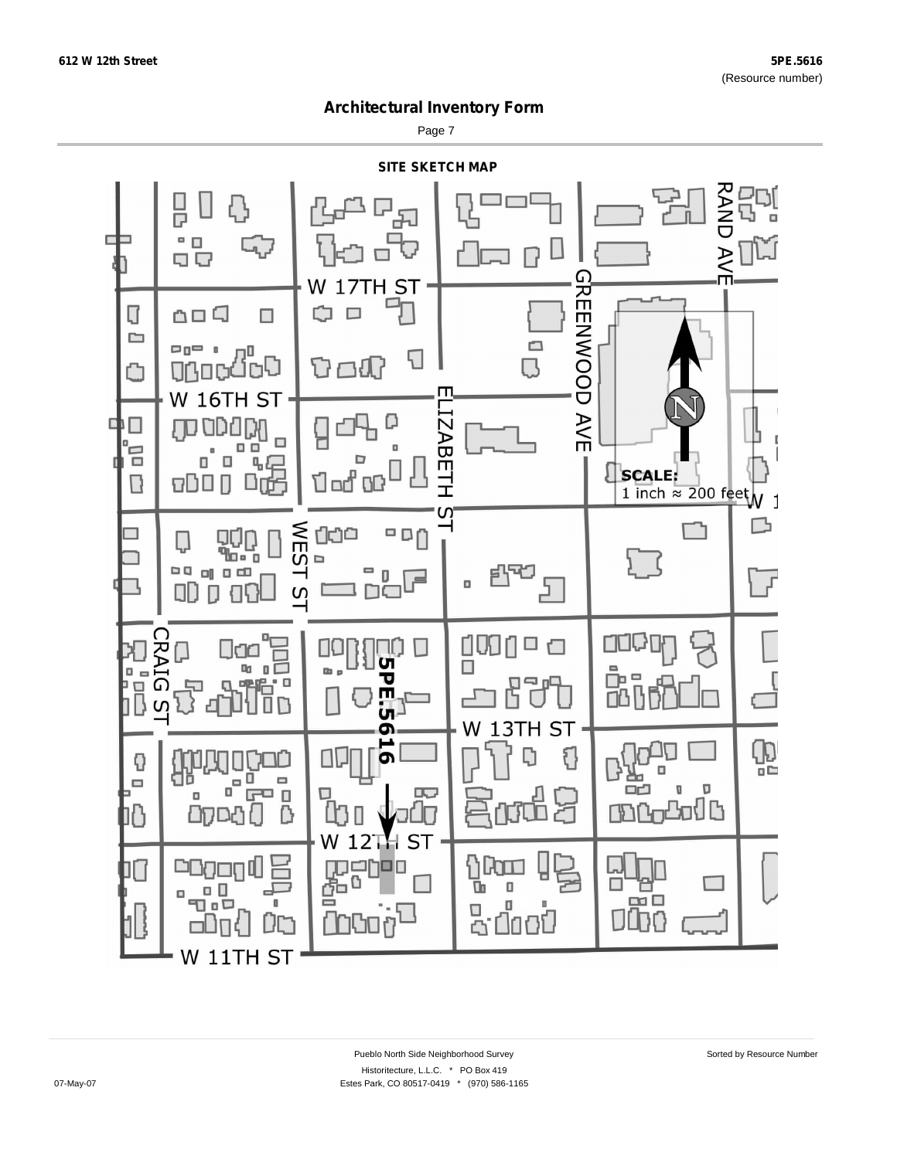Page 7